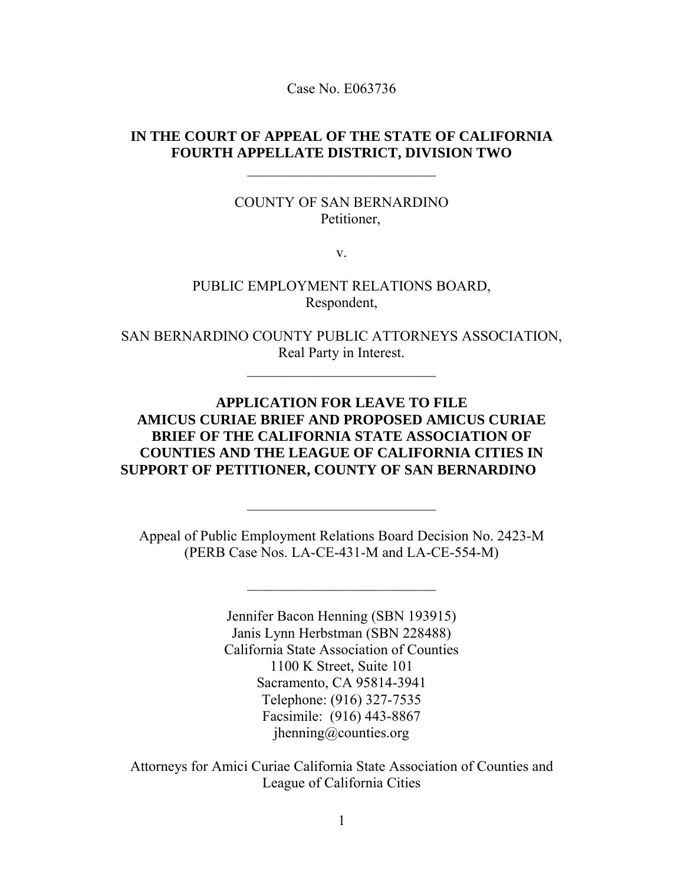Case No. E063736

### **IN THE COURT OF APPEAL OF THE STATE OF CALIFORNIA FOURTH APPELLATE DISTRICT, DIVISION TWO**

 $\overline{\phantom{a}}$  , where  $\overline{\phantom{a}}$  , where  $\overline{\phantom{a}}$  , where  $\overline{\phantom{a}}$  ,  $\overline{\phantom{a}}$  ,  $\overline{\phantom{a}}$  ,  $\overline{\phantom{a}}$  ,  $\overline{\phantom{a}}$  ,  $\overline{\phantom{a}}$  ,  $\overline{\phantom{a}}$  ,  $\overline{\phantom{a}}$  ,  $\overline{\phantom{a}}$  ,  $\overline{\phantom{a}}$  ,  $\overline{\phantom{a}}$  ,  $\overline{\phantom$ 

COUNTY OF SAN BERNARDINO Petitioner,

v.

PUBLIC EMPLOYMENT RELATIONS BOARD, Respondent,

SAN BERNARDINO COUNTY PUBLIC ATTORNEYS ASSOCIATION, Real Party in Interest.

 $\overline{\phantom{a}}$  , where  $\overline{\phantom{a}}$  , where  $\overline{\phantom{a}}$  , where  $\overline{\phantom{a}}$ 

**APPLICATION FOR LEAVE TO FILE AMICUS CURIAE BRIEF AND PROPOSED AMICUS CURIAE BRIEF OF THE CALIFORNIA STATE ASSOCIATION OF COUNTIES AND THE LEAGUE OF CALIFORNIA CITIES IN SUPPORT OF PETITIONER, COUNTY OF SAN BERNARDINO**

Appeal of Public Employment Relations Board Decision No. 2423-M (PERB Case Nos. LA-CE-431-M and LA-CE-554-M)

 $\overline{\phantom{a}}$  , where  $\overline{\phantom{a}}$  , where  $\overline{\phantom{a}}$  , where  $\overline{\phantom{a}}$ 

 $\overline{\phantom{a}}$  , where  $\overline{\phantom{a}}$  , where  $\overline{\phantom{a}}$  , where  $\overline{\phantom{a}}$ 

Jennifer Bacon Henning (SBN 193915) Janis Lynn Herbstman (SBN 228488) California State Association of Counties 1100 K Street, Suite 101 Sacramento, CA 95814-3941 Telephone: (916) 327-7535 Facsimile: (916) 443-8867 jhenning@counties.org

Attorneys for Amici Curiae California State Association of Counties and League of California Cities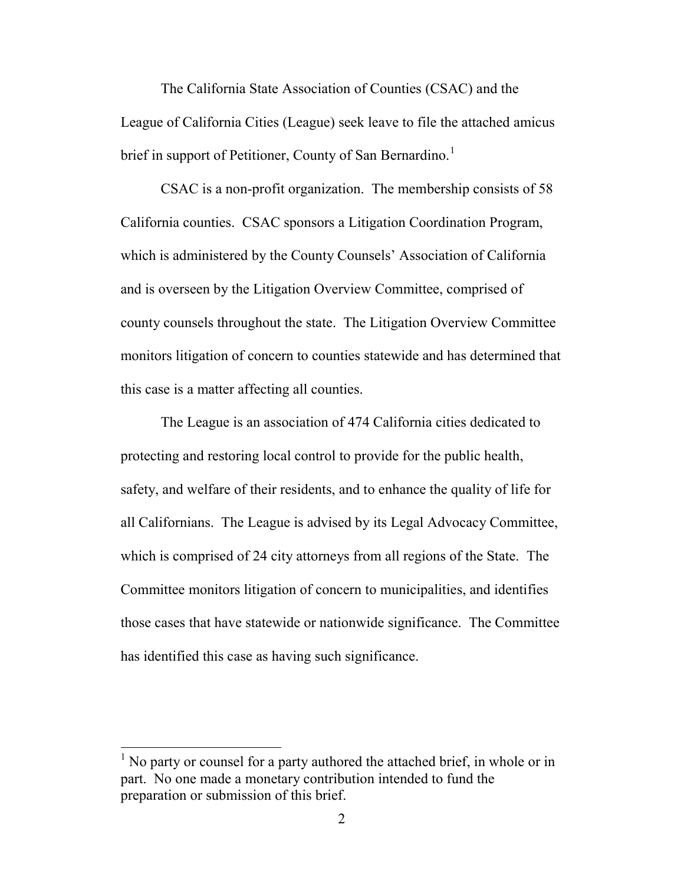The California State Association of Counties (CSAC) and the League of California Cities (League) seek leave to file the attached amicus brief in support of Petitioner, County of San Bernardino.<sup>[1](#page-1-0)</sup>

CSAC is a non-profit organization. The membership consists of 58 California counties. CSAC sponsors a Litigation Coordination Program, which is administered by the County Counsels' Association of California and is overseen by the Litigation Overview Committee, comprised of county counsels throughout the state. The Litigation Overview Committee monitors litigation of concern to counties statewide and has determined that this case is a matter affecting all counties.

The League is an association of 474 California cities dedicated to protecting and restoring local control to provide for the public health, safety, and welfare of their residents, and to enhance the quality of life for all Californians. The League is advised by its Legal Advocacy Committee, which is comprised of 24 city attorneys from all regions of the State. The Committee monitors litigation of concern to municipalities, and identifies those cases that have statewide or nationwide significance. The Committee has identified this case as having such significance.

l

<span id="page-1-0"></span><sup>&</sup>lt;sup>1</sup> No party or counsel for a party authored the attached brief, in whole or in part. No one made a monetary contribution intended to fund the preparation or submission of this brief.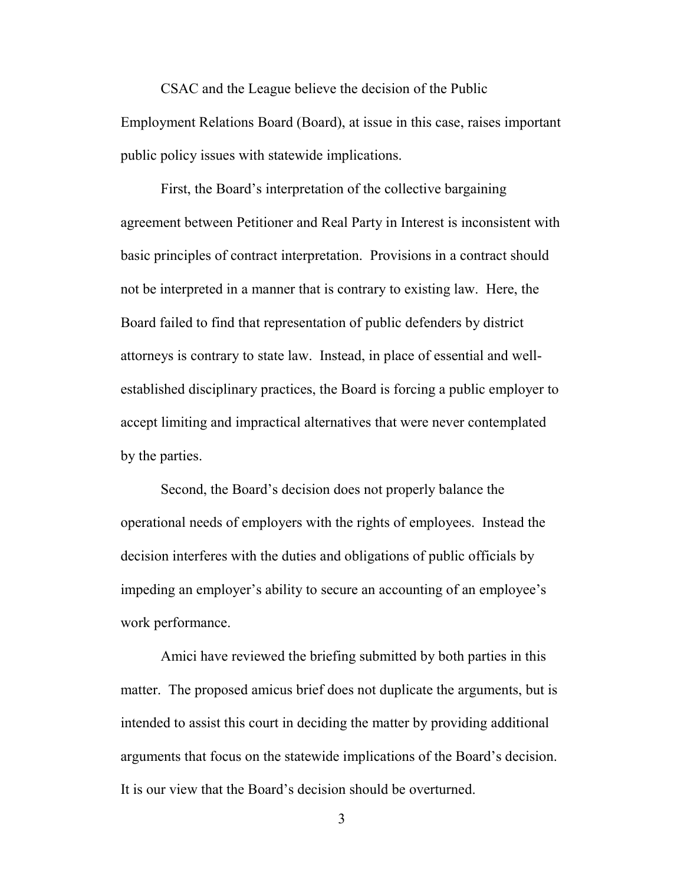CSAC and the League believe the decision of the Public Employment Relations Board (Board), at issue in this case, raises important public policy issues with statewide implications.

First, the Board's interpretation of the collective bargaining agreement between Petitioner and Real Party in Interest is inconsistent with basic principles of contract interpretation. Provisions in a contract should not be interpreted in a manner that is contrary to existing law. Here, the Board failed to find that representation of public defenders by district attorneys is contrary to state law. Instead, in place of essential and wellestablished disciplinary practices, the Board is forcing a public employer to accept limiting and impractical alternatives that were never contemplated by the parties.

Second, the Board's decision does not properly balance the operational needs of employers with the rights of employees. Instead the decision interferes with the duties and obligations of public officials by impeding an employer's ability to secure an accounting of an employee's work performance.

 Amici have reviewed the briefing submitted by both parties in this matter. The proposed amicus brief does not duplicate the arguments, but is intended to assist this court in deciding the matter by providing additional arguments that focus on the statewide implications of the Board's decision. It is our view that the Board's decision should be overturned.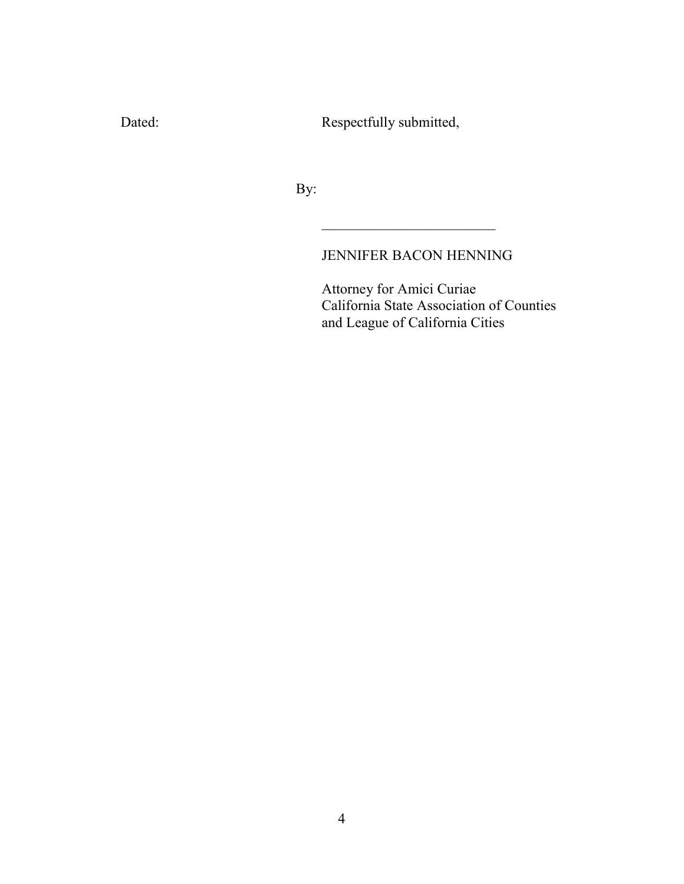Dated: Respectfully submitted,

 $\frac{1}{2}$  ,  $\frac{1}{2}$  ,  $\frac{1}{2}$  ,  $\frac{1}{2}$  ,  $\frac{1}{2}$  ,  $\frac{1}{2}$  ,  $\frac{1}{2}$  ,  $\frac{1}{2}$  ,  $\frac{1}{2}$  ,  $\frac{1}{2}$  ,  $\frac{1}{2}$  ,  $\frac{1}{2}$  ,  $\frac{1}{2}$  ,  $\frac{1}{2}$  ,  $\frac{1}{2}$  ,  $\frac{1}{2}$  ,  $\frac{1}{2}$  ,  $\frac{1}{2}$  ,  $\frac{1$ 

By:

## JENNIFER BACON HENNING

 Attorney for Amici Curiae California State Association of Counties and League of California Cities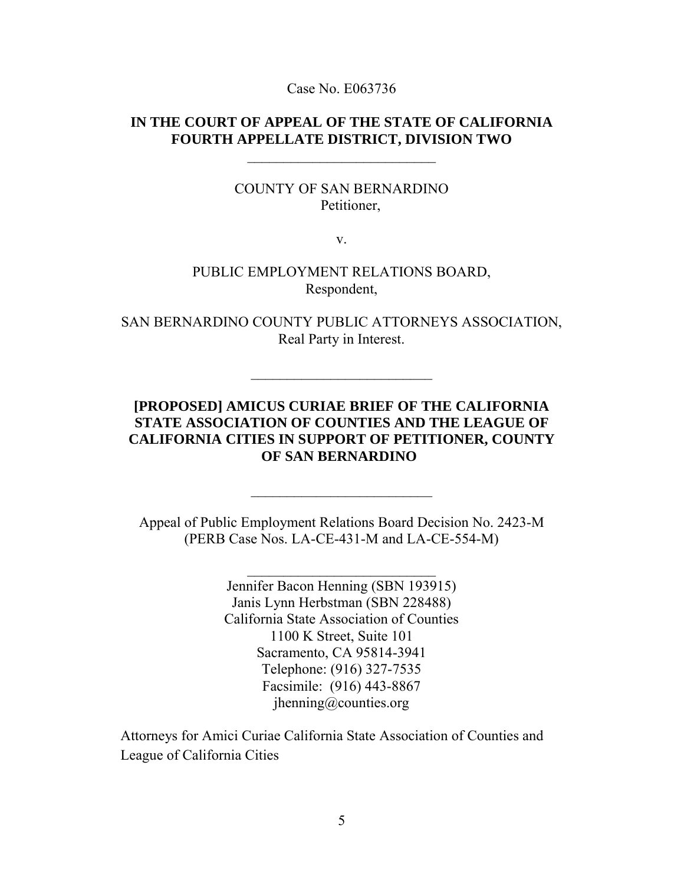Case No. E063736

#### **IN THE COURT OF APPEAL OF THE STATE OF CALIFORNIA FOURTH APPELLATE DISTRICT, DIVISION TWO**

 $\_$ 

#### COUNTY OF SAN BERNARDINO Petitioner,

v.

#### PUBLIC EMPLOYMENT RELATIONS BOARD, Respondent,

SAN BERNARDINO COUNTY PUBLIC ATTORNEYS ASSOCIATION, Real Party in Interest.

\_\_\_\_\_\_\_\_\_\_\_\_\_\_\_\_\_\_\_\_\_\_\_\_\_

## **[PROPOSED] AMICUS CURIAE BRIEF OF THE CALIFORNIA STATE ASSOCIATION OF COUNTIES AND THE LEAGUE OF CALIFORNIA CITIES IN SUPPORT OF PETITIONER, COUNTY OF SAN BERNARDINO**

Appeal of Public Employment Relations Board Decision No. 2423-M (PERB Case Nos. LA-CE-431-M and LA-CE-554-M)

\_\_\_\_\_\_\_\_\_\_\_\_\_\_\_\_\_\_\_\_\_\_\_\_\_\_

 $\mathcal{L}_\text{max}$  , where  $\mathcal{L}_\text{max}$ 

Jennifer Bacon Henning (SBN 193915) Janis Lynn Herbstman (SBN 228488) California State Association of Counties 1100 K Street, Suite 101 Sacramento, CA 95814-3941 Telephone: (916) 327-7535 Facsimile: (916) 443-8867 jhenning@counties.org

Attorneys for Amici Curiae California State Association of Counties and League of California Cities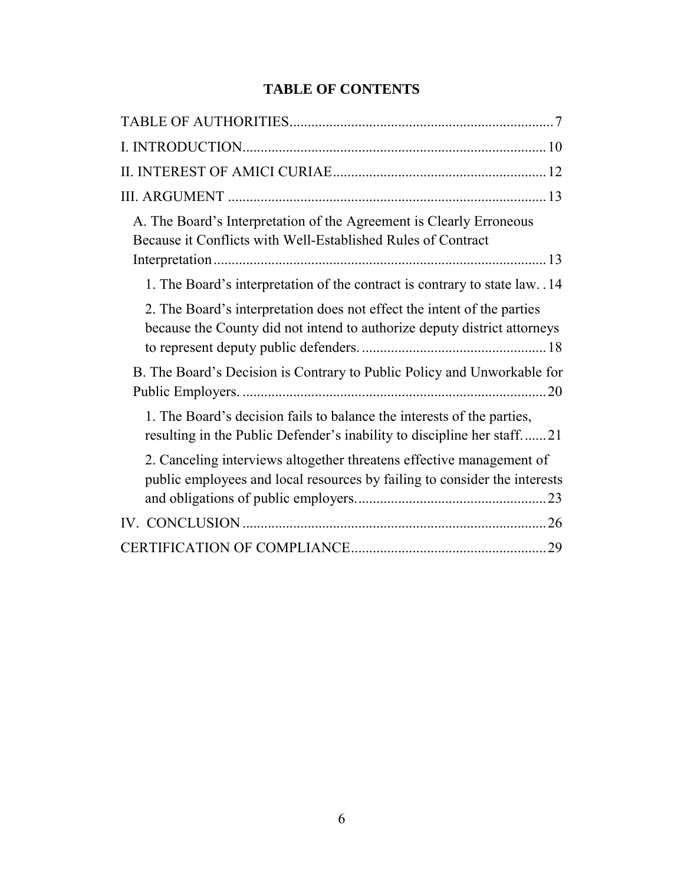## **TABLE OF CONTENTS**

| A. The Board's Interpretation of the Agreement is Clearly Erroneous<br>Because it Conflicts with Well-Established Rules of Contract                 |
|-----------------------------------------------------------------------------------------------------------------------------------------------------|
| 1. The Board's interpretation of the contract is contrary to state law. .14                                                                         |
| 2. The Board's interpretation does not effect the intent of the parties<br>because the County did not intend to authorize deputy district attorneys |
| B. The Board's Decision is Contrary to Public Policy and Unworkable for                                                                             |
| 1. The Board's decision fails to balance the interests of the parties,<br>resulting in the Public Defender's inability to discipline her staff21    |
| 2. Canceling interviews altogether threatens effective management of<br>public employees and local resources by failing to consider the interests   |
|                                                                                                                                                     |
|                                                                                                                                                     |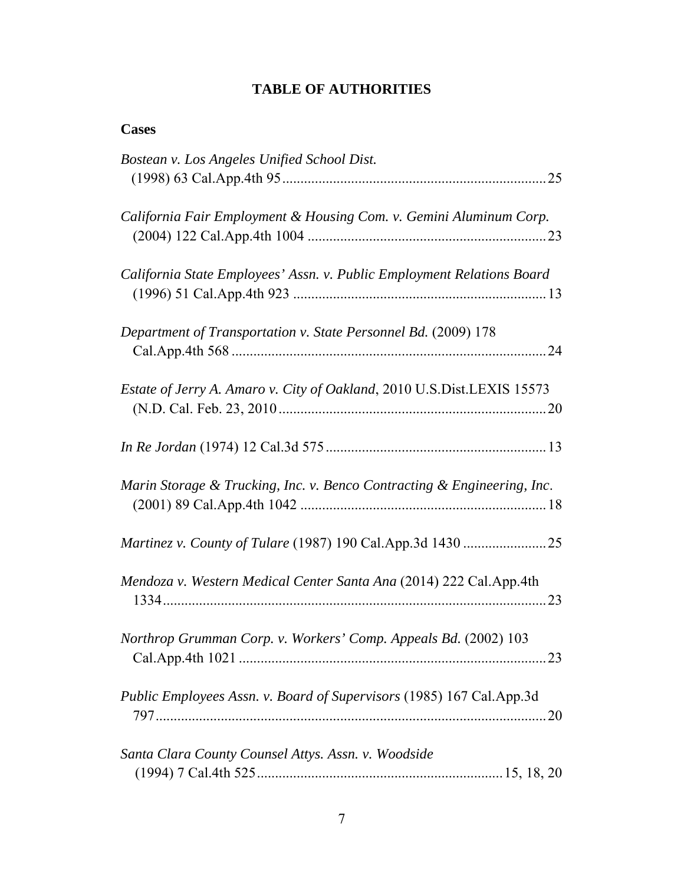## **TABLE OF AUTHORITIES**

| <b>Cases</b>                                                            |
|-------------------------------------------------------------------------|
| Bostean v. Los Angeles Unified School Dist.                             |
| California Fair Employment & Housing Com. v. Gemini Aluminum Corp.      |
| California State Employees' Assn. v. Public Employment Relations Board  |
| Department of Transportation v. State Personnel Bd. (2009) 178          |
| Estate of Jerry A. Amaro v. City of Oakland, 2010 U.S.Dist.LEXIS 15573  |
|                                                                         |
| Marin Storage & Trucking, Inc. v. Benco Contracting & Engineering, Inc. |
|                                                                         |
| Mendoza v. Western Medical Center Santa Ana (2014) 222 Cal.App.4th      |
| Northrop Grumman Corp. v. Workers' Comp. Appeals Bd. (2002) 103         |
| Public Employees Assn. v. Board of Supervisors (1985) 167 Cal.App.3d    |
| Santa Clara County Counsel Attys. Assn. v. Woodside                     |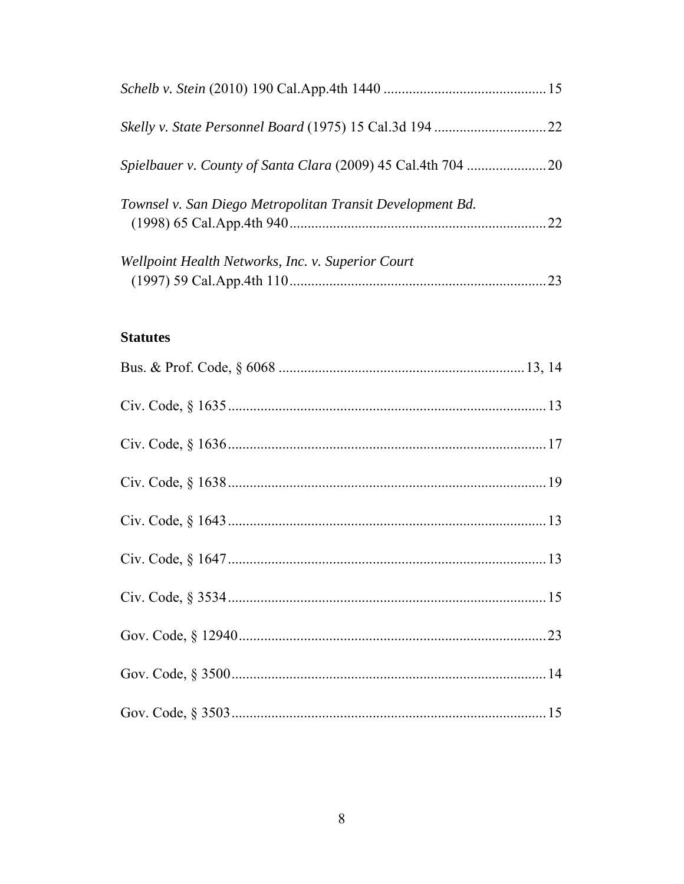| <i>Spielbauer v. County of Santa Clara (2009) 45 Cal.4th 704 </i> |    |
|-------------------------------------------------------------------|----|
| Townsel v. San Diego Metropolitan Transit Development Bd.         | 22 |
| Wellpoint Health Networks, Inc. v. Superior Court                 | 23 |

# **Statutes**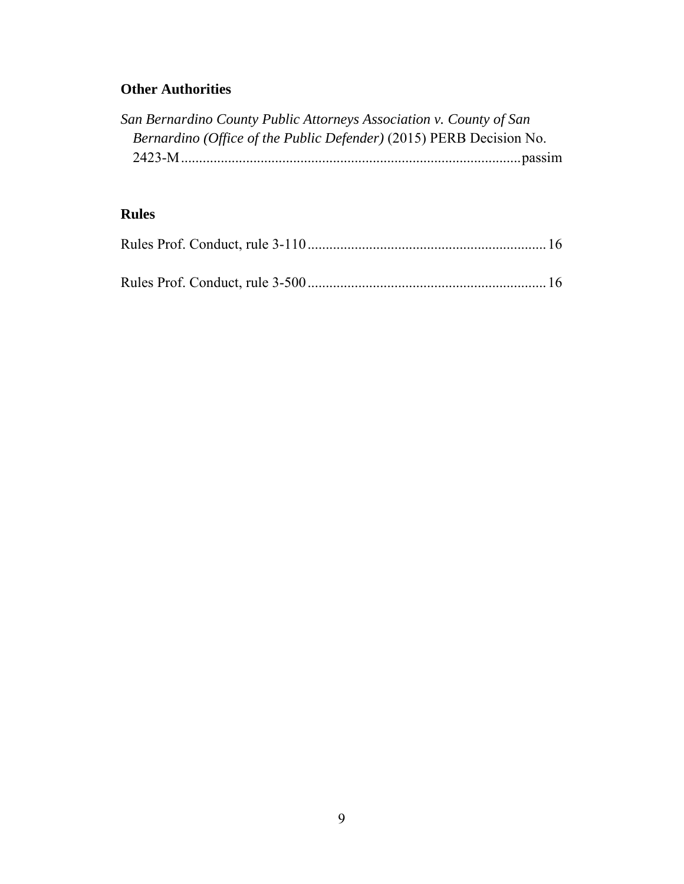## **Other Authorities**

| San Bernardino County Public Attorneys Association v. County of San        |  |
|----------------------------------------------------------------------------|--|
| <i>Bernardino (Office of the Public Defender)</i> (2015) PERB Decision No. |  |
|                                                                            |  |

## **Rules**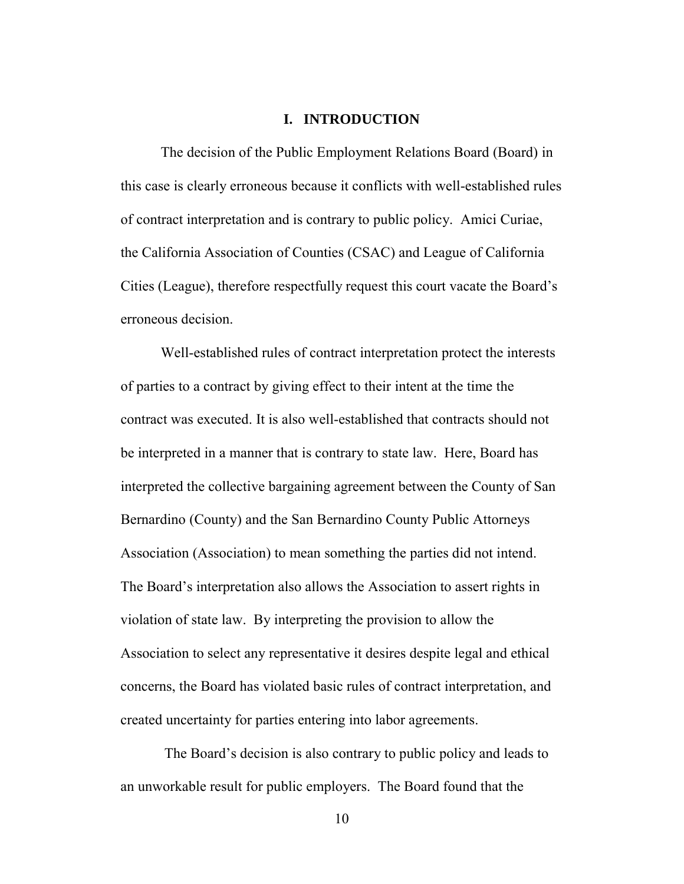#### **I. INTRODUCTION**

The decision of the Public Employment Relations Board (Board) in this case is clearly erroneous because it conflicts with well-established rules of contract interpretation and is contrary to public policy. Amici Curiae, the California Association of Counties (CSAC) and League of California Cities (League), therefore respectfully request this court vacate the Board's erroneous decision.

Well-established rules of contract interpretation protect the interests of parties to a contract by giving effect to their intent at the time the contract was executed. It is also well-established that contracts should not be interpreted in a manner that is contrary to state law. Here, Board has interpreted the collective bargaining agreement between the County of San Bernardino (County) and the San Bernardino County Public Attorneys Association (Association) to mean something the parties did not intend. The Board's interpretation also allows the Association to assert rights in violation of state law. By interpreting the provision to allow the Association to select any representative it desires despite legal and ethical concerns, the Board has violated basic rules of contract interpretation, and created uncertainty for parties entering into labor agreements.

 The Board's decision is also contrary to public policy and leads to an unworkable result for public employers. The Board found that the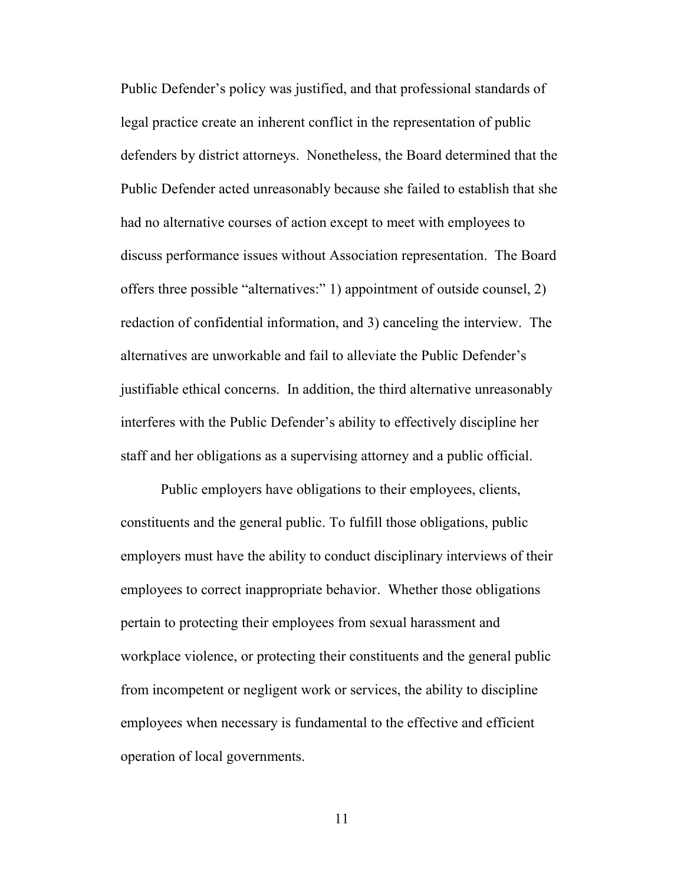Public Defender's policy was justified, and that professional standards of legal practice create an inherent conflict in the representation of public defenders by district attorneys. Nonetheless, the Board determined that the Public Defender acted unreasonably because she failed to establish that she had no alternative courses of action except to meet with employees to discuss performance issues without Association representation. The Board offers three possible "alternatives:" 1) appointment of outside counsel, 2) redaction of confidential information, and 3) canceling the interview. The alternatives are unworkable and fail to alleviate the Public Defender's justifiable ethical concerns. In addition, the third alternative unreasonably interferes with the Public Defender's ability to effectively discipline her staff and her obligations as a supervising attorney and a public official.

Public employers have obligations to their employees, clients, constituents and the general public. To fulfill those obligations, public employers must have the ability to conduct disciplinary interviews of their employees to correct inappropriate behavior. Whether those obligations pertain to protecting their employees from sexual harassment and workplace violence, or protecting their constituents and the general public from incompetent or negligent work or services, the ability to discipline employees when necessary is fundamental to the effective and efficient operation of local governments.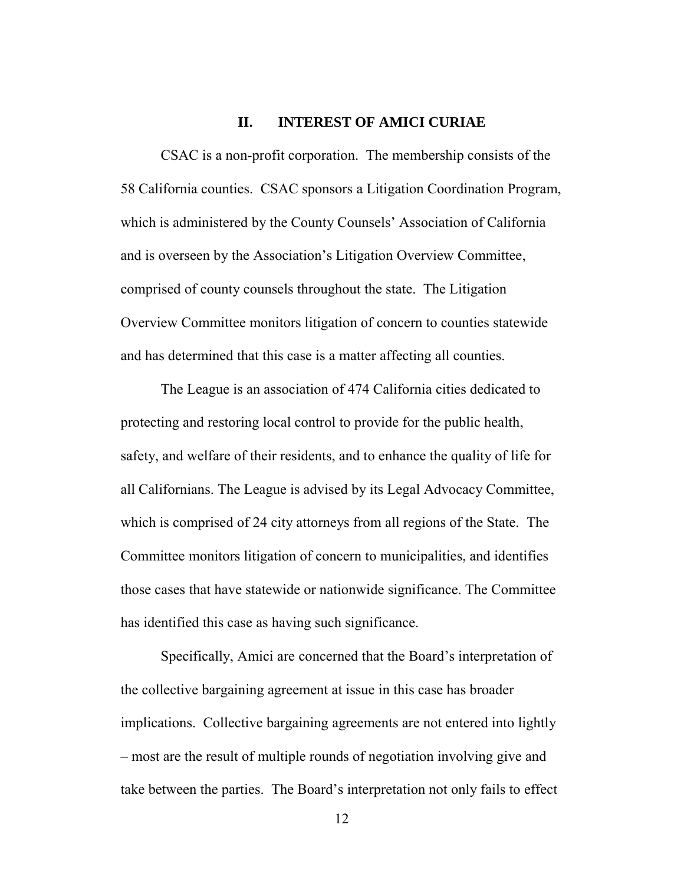#### **II. INTEREST OF AMICI CURIAE**

CSAC is a non-profit corporation. The membership consists of the 58 California counties. CSAC sponsors a Litigation Coordination Program, which is administered by the County Counsels' Association of California and is overseen by the Association's Litigation Overview Committee, comprised of county counsels throughout the state. The Litigation Overview Committee monitors litigation of concern to counties statewide and has determined that this case is a matter affecting all counties.

 The League is an association of 474 California cities dedicated to protecting and restoring local control to provide for the public health, safety, and welfare of their residents, and to enhance the quality of life for all Californians. The League is advised by its Legal Advocacy Committee, which is comprised of 24 city attorneys from all regions of the State. The Committee monitors litigation of concern to municipalities, and identifies those cases that have statewide or nationwide significance. The Committee has identified this case as having such significance.

 Specifically, Amici are concerned that the Board's interpretation of the collective bargaining agreement at issue in this case has broader implications. Collective bargaining agreements are not entered into lightly – most are the result of multiple rounds of negotiation involving give and take between the parties. The Board's interpretation not only fails to effect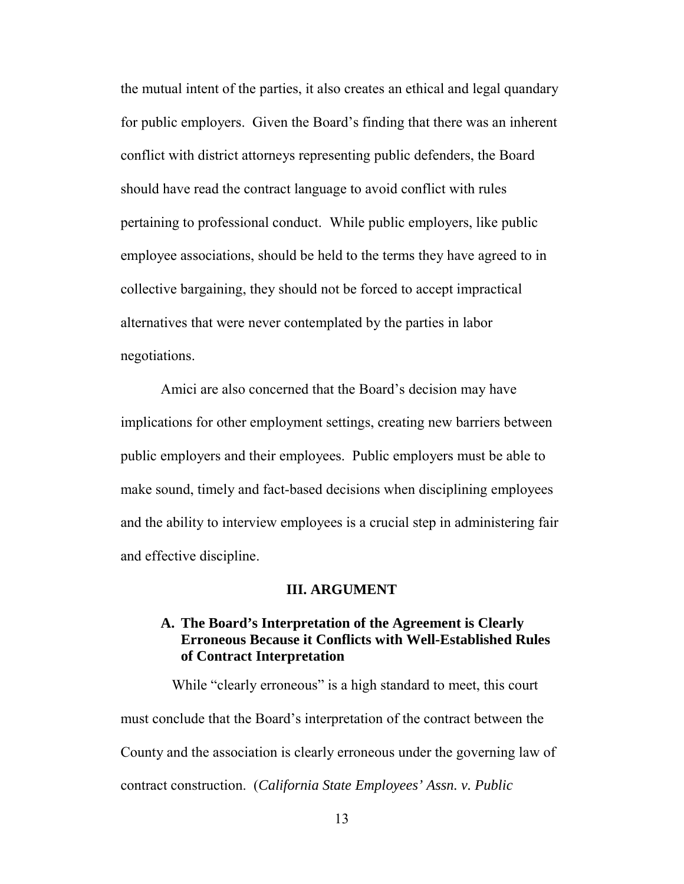the mutual intent of the parties, it also creates an ethical and legal quandary for public employers. Given the Board's finding that there was an inherent conflict with district attorneys representing public defenders, the Board should have read the contract language to avoid conflict with rules pertaining to professional conduct. While public employers, like public employee associations, should be held to the terms they have agreed to in collective bargaining, they should not be forced to accept impractical alternatives that were never contemplated by the parties in labor negotiations.

Amici are also concerned that the Board's decision may have implications for other employment settings, creating new barriers between public employers and their employees. Public employers must be able to make sound, timely and fact-based decisions when disciplining employees and the ability to interview employees is a crucial step in administering fair and effective discipline.

#### **III. ARGUMENT**

### **A. The Board's Interpretation of the Agreement is Clearly Erroneous Because it Conflicts with Well-Established Rules of Contract Interpretation**

While "clearly erroneous" is a high standard to meet, this court must conclude that the Board's interpretation of the contract between the County and the association is clearly erroneous under the governing law of contract construction. (*California State Employees' Assn. v. Public*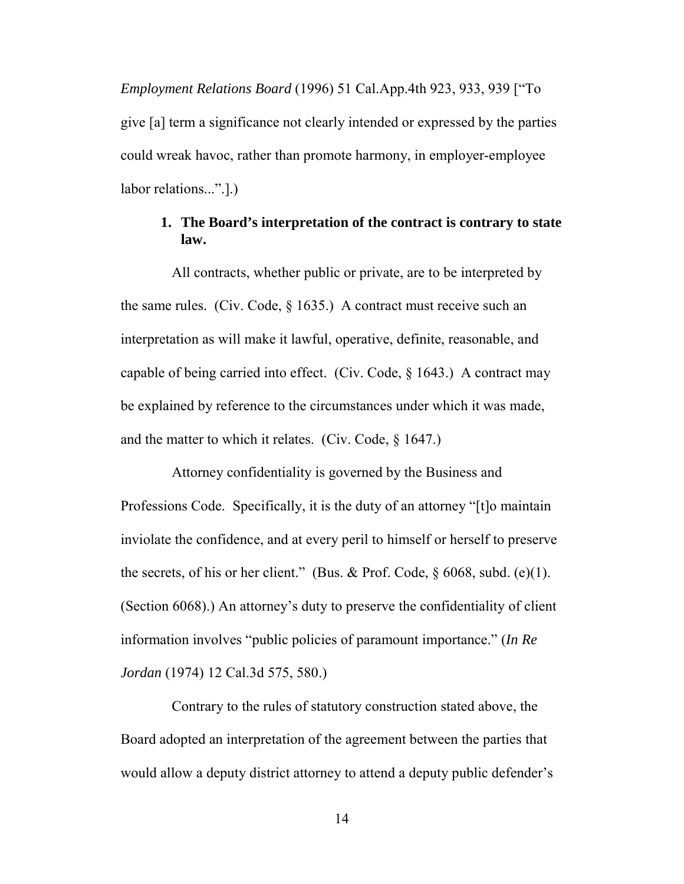*Employment Relations Board* (1996) 51 Cal.App.4th 923, 933, 939 ["To give [a] term a significance not clearly intended or expressed by the parties could wreak havoc, rather than promote harmony, in employer-employee labor relations...".].)

## **1. The Board's interpretation of the contract is contrary to state law.**

 All contracts, whether public or private, are to be interpreted by the same rules. (Civ. Code,  $\S 1635$ .) A contract must receive such an interpretation as will make it lawful, operative, definite, reasonable, and capable of being carried into effect. (Civ. Code, § 1643.) A contract may be explained by reference to the circumstances under which it was made, and the matter to which it relates. (Civ. Code, § 1647.)

 Attorney confidentiality is governed by the Business and Professions Code. Specifically, it is the duty of an attorney "[t]o maintain inviolate the confidence, and at every peril to himself or herself to preserve the secrets, of his or her client." (Bus. & Prof. Code,  $\S$  6068, subd. (e)(1). (Section 6068).) An attorney's duty to preserve the confidentiality of client information involves "public policies of paramount importance." (*In Re Jordan* (1974) 12 Cal.3d 575, 580.)

 Contrary to the rules of statutory construction stated above, the Board adopted an interpretation of the agreement between the parties that would allow a deputy district attorney to attend a deputy public defender's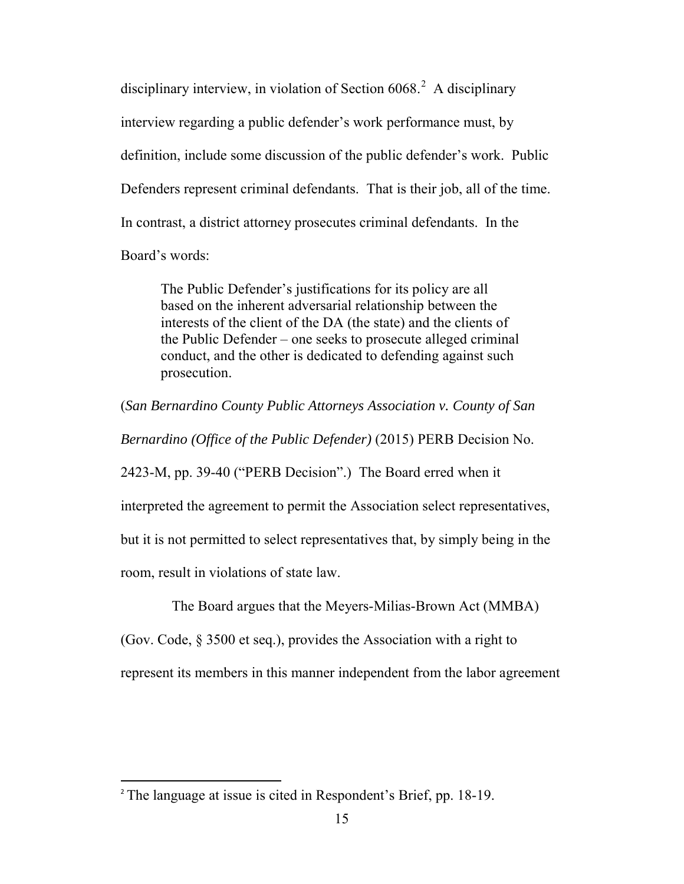disciplinary interview, in violation of Section  $6068$ <sup>[2](#page-14-0)</sup> A disciplinary interview regarding a public defender's work performance must, by definition, include some discussion of the public defender's work. Public Defenders represent criminal defendants. That is their job, all of the time. In contrast, a district attorney prosecutes criminal defendants. In the Board's words:

The Public Defender's justifications for its policy are all based on the inherent adversarial relationship between the interests of the client of the DA (the state) and the clients of the Public Defender – one seeks to prosecute alleged criminal conduct, and the other is dedicated to defending against such prosecution.

(*San Bernardino County Public Attorneys Association v. County of San Bernardino (Office of the Public Defender)* (2015) PERB Decision No. 2423-M, pp. 39-40 ("PERB Decision".) The Board erred when it interpreted the agreement to permit the Association select representatives, but it is not permitted to select representatives that, by simply being in the room, result in violations of state law.

The Board argues that the Meyers-Milias-Brown Act (MMBA)

(Gov. Code, § 3500 et seq.), provides the Association with a right to

represent its members in this manner independent from the labor agreement

l

<span id="page-14-0"></span><sup>2</sup> The language at issue is cited in Respondent's Brief, pp. 18-19.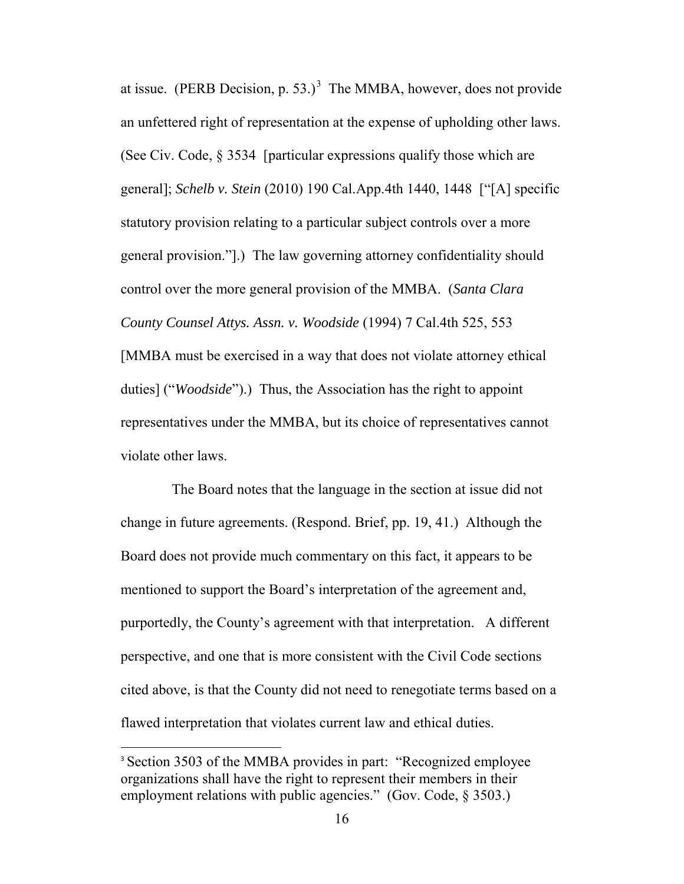at issue. (PERB Decision, p. 5[3](#page-15-0).)<sup>3</sup> The MMBA, however, does not provide an unfettered right of representation at the expense of upholding other laws. (See Civ. Code, § 3534 [particular expressions qualify those which are general]; *Schelb v. Stein* [\(2010\) 190 Cal.App.4th 1440, 1448 \[](http://www.lexis.com/research/xlink?app=00075&view=full&searchtype=le&search=190+Cal.+App.+4th+1440%2520at%25201448)"[A] specific statutory provision relating to a particular subject controls over a more general provision."].) The law governing attorney confidentiality should control over the more general provision of the MMBA. (*Santa Clara County Counsel Attys. Assn. v. Woodside* (1994) 7 Cal.4th 525, 553 [MMBA must be exercised in a way that does not violate attorney ethical duties] ("*Woodside*").) Thus, the Association has the right to appoint representatives under the MMBA, but its choice of representatives cannot violate other laws.

 The Board notes that the language in the section at issue did not change in future agreements. (Respond. Brief, pp. 19, 41.) Although the Board does not provide much commentary on this fact, it appears to be mentioned to support the Board's interpretation of the agreement and, purportedly, the County's agreement with that interpretation. A different perspective, and one that is more consistent with the Civil Code sections cited above, is that the County did not need to renegotiate terms based on a flawed interpretation that violates current law and ethical duties.

l

<span id="page-15-0"></span><sup>&</sup>lt;sup>3</sup> Section 3503 of the MMBA provides in part: "Recognized employee" organizations shall have the right to represent their members in their employment relations with public agencies." (Gov. Code, § 3503.)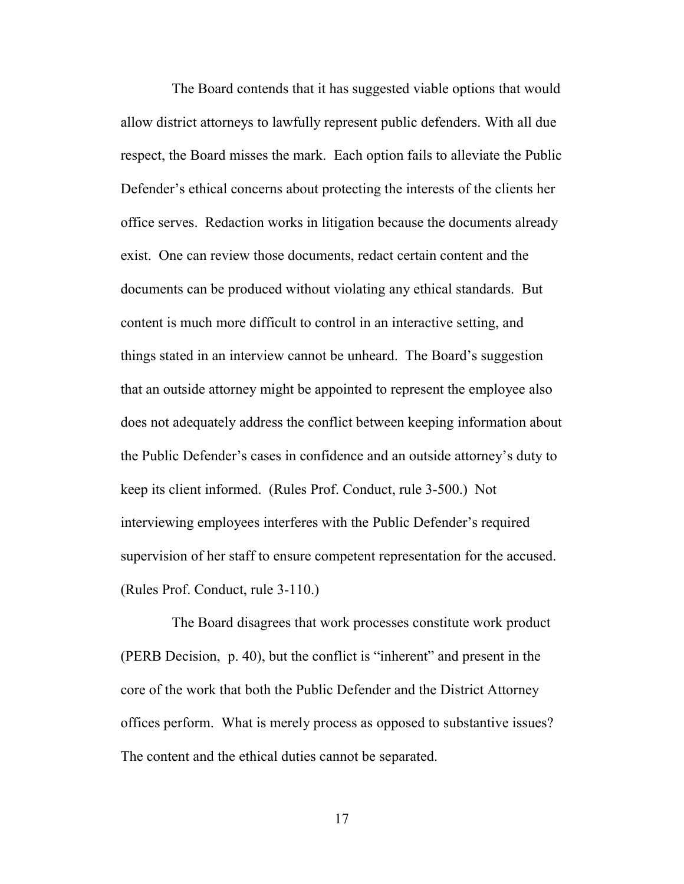The Board contends that it has suggested viable options that would allow district attorneys to lawfully represent public defenders. With all due respect, the Board misses the mark. Each option fails to alleviate the Public Defender's ethical concerns about protecting the interests of the clients her office serves. Redaction works in litigation because the documents already exist. One can review those documents, redact certain content and the documents can be produced without violating any ethical standards. But content is much more difficult to control in an interactive setting, and things stated in an interview cannot be unheard. The Board's suggestion that an outside attorney might be appointed to represent the employee also does not adequately address the conflict between keeping information about the Public Defender's cases in confidence and an outside attorney's duty to keep its client informed. (Rules Prof. Conduct, rule 3-500.) Not interviewing employees interferes with the Public Defender's required supervision of her staff to ensure competent representation for the accused. (Rules Prof. Conduct, rule 3-110.)

 The Board disagrees that work processes constitute work product (PERB Decision, p. 40), but the conflict is "inherent" and present in the core of the work that both the Public Defender and the District Attorney offices perform. What is merely process as opposed to substantive issues? The content and the ethical duties cannot be separated.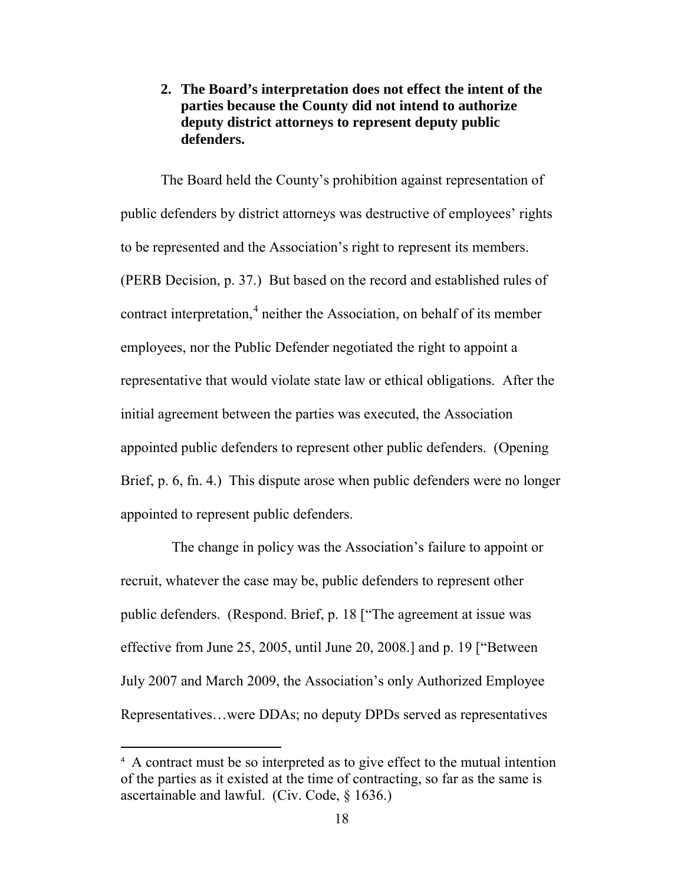### **2. The Board's interpretation does not effect the intent of the parties because the County did not intend to authorize deputy district attorneys to represent deputy public defenders.**

The Board held the County's prohibition against representation of public defenders by district attorneys was destructive of employees' rights to be represented and the Association's right to represent its members. (PERB Decision, p. 37.) But based on the record and established rules of contract interpretation,<sup>[4](#page-17-0)</sup> neither the Association, on behalf of its member employees, nor the Public Defender negotiated the right to appoint a representative that would violate state law or ethical obligations. After the initial agreement between the parties was executed, the Association appointed public defenders to represent other public defenders. (Opening Brief, p. 6, fn. 4.) This dispute arose when public defenders were no longer appointed to represent public defenders.

 The change in policy was the Association's failure to appoint or recruit, whatever the case may be, public defenders to represent other public defenders. (Respond. Brief, p. 18 ["The agreement at issue was effective from June 25, 2005, until June 20, 2008.] and p. 19 ["Between July 2007 and March 2009, the Association's only Authorized Employee Representatives…were DDAs; no deputy DPDs served as representatives

 $\overline{\phantom{a}}$ 

<span id="page-17-0"></span><sup>4</sup> A contract must be so interpreted as to give effect to the mutual intention of the parties as it existed at the time of contracting, so far as the same is ascertainable and lawful. (Civ. Code, § 1636.)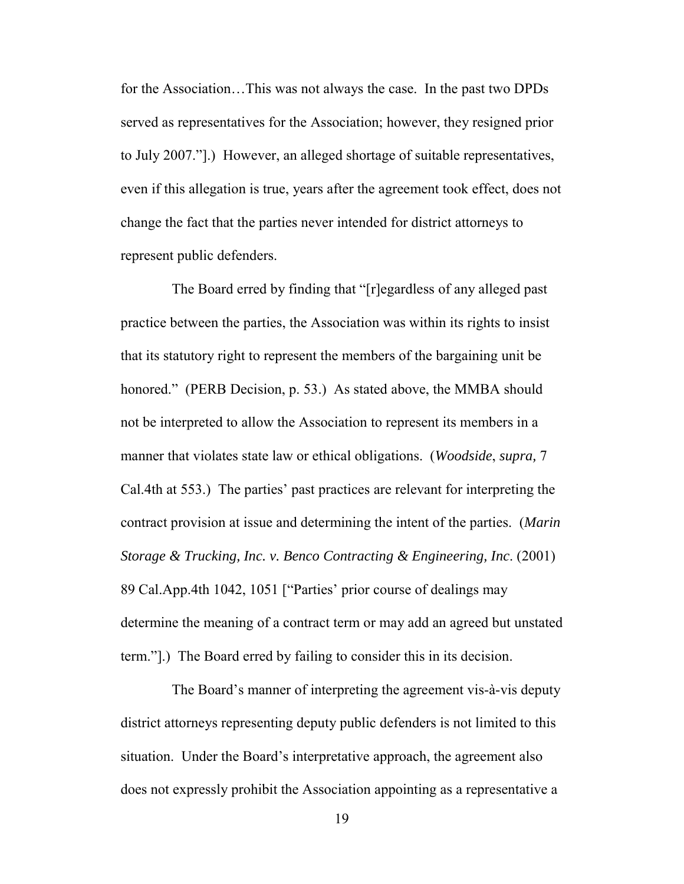for the Association…This was not always the case. In the past two DPDs served as representatives for the Association; however, they resigned prior to July 2007."].) However, an alleged shortage of suitable representatives, even if this allegation is true, years after the agreement took effect, does not change the fact that the parties never intended for district attorneys to represent public defenders.

 The Board erred by finding that "[r]egardless of any alleged past practice between the parties, the Association was within its rights to insist that its statutory right to represent the members of the bargaining unit be honored." (PERB Decision, p. 53.) As stated above, the MMBA should not be interpreted to allow the Association to represent its members in a manner that violates state law or ethical obligations. (*Woodside*, *supra,* 7 Cal.4th at 553.) The parties' past practices are relevant for interpreting the contract provision at issue and determining the intent of the parties. (*Marin Storage & Trucking, Inc. v. Benco Contracting & Engineering, Inc*. (2001) 89 Cal.App.4th 1042, 1051 ["Parties' prior course of dealings may determine the meaning of a contract term or may add an agreed but unstated term."].) The Board erred by failing to consider this in its decision.

 The Board's manner of interpreting the agreement vis-à-vis deputy district attorneys representing deputy public defenders is not limited to this situation. Under the Board's interpretative approach, the agreement also does not expressly prohibit the Association appointing as a representative a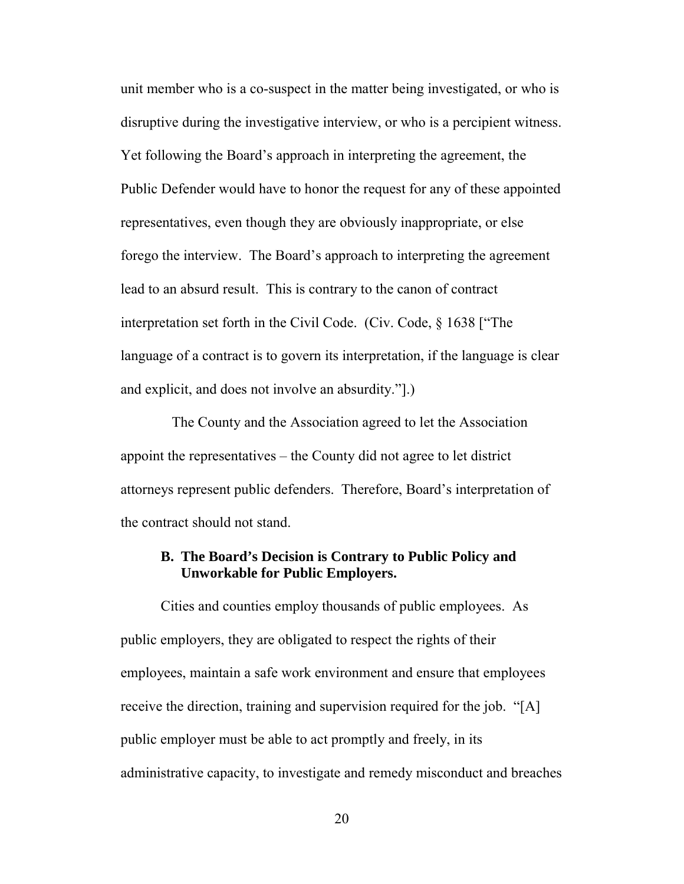unit member who is a co-suspect in the matter being investigated, or who is disruptive during the investigative interview, or who is a percipient witness. Yet following the Board's approach in interpreting the agreement, the Public Defender would have to honor the request for any of these appointed representatives, even though they are obviously inappropriate, or else forego the interview. The Board's approach to interpreting the agreement lead to an absurd result. This is contrary to the canon of contract interpretation set forth in the Civil Code. (Civ. Code, § 1638 ["The language of a contract is to govern its interpretation, if the language is clear and explicit, and does not involve an absurdity."].)

 The County and the Association agreed to let the Association appoint the representatives – the County did not agree to let district attorneys represent public defenders. Therefore, Board's interpretation of the contract should not stand.

#### **B. The Board's Decision is Contrary to Public Policy and Unworkable for Public Employers.**

Cities and counties employ thousands of public employees. As public employers, they are obligated to respect the rights of their employees, maintain a safe work environment and ensure that employees receive the direction, training and supervision required for the job. "[A] public employer must be able to act promptly and freely, in its administrative capacity, to investigate and remedy misconduct and breaches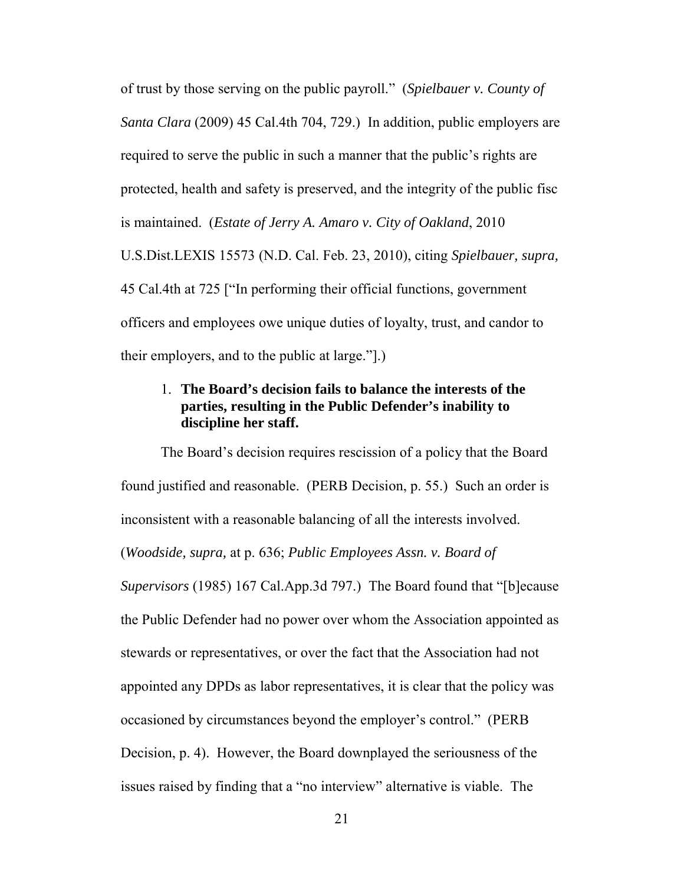of trust by those serving on the public payroll." (*Spielbauer v. County of Santa Clara* (2009) 45 Cal.4th 704, 729.) In addition, public employers are required to serve the public in such a manner that the public's rights are protected, health and safety is preserved, and the integrity of the public fisc is maintained. (*[Estate of Jerry A. Amaro v. City of Oakland](http://www.lexis.com/research/xlink?app=00075&view=full&searchtype=le&search=2010+U.S.+Dist.+LEXIS+15573)*, 2010 [U.S.Dist.LEXIS 15573 \(N.D. Cal. Feb. 23, 2010\),](http://www.lexis.com/research/xlink?app=00075&view=full&searchtype=le&search=2010+U.S.+Dist.+LEXIS+15573) citing *[Spielbauer, supra,](http://www.lexis.com/research/buttonTFLink?_m=5dd11fb608a318a33079c602d6f803b6&_xfercite=%3ccite%20cc%3d%22USA%22%3e%3c%21%5bCDATA%5b2010%20U.S.%20Dist.%20LEXIS%2015573%5d%5d%3e%3c%2fcite%3e&_butType=3&_butStat=2&_butNum=33&_butInline=1&_butinfo=%3ccite%20cc%3d%22USA%22%3e%3c%21%5bCDATA%5b45%20Cal.%204th%20704%2c%20725%5d%5d%3e%3c%2fcite%3e&_fmtstr=FULL&docnum=1&_startdoc=1&wchp=dGLbVzk-zSkAz&_md5=af869e806eed0d43f73a57b3b11b03f3)*  [45 Cal.4th at 725](http://www.lexis.com/research/buttonTFLink?_m=5dd11fb608a318a33079c602d6f803b6&_xfercite=%3ccite%20cc%3d%22USA%22%3e%3c%21%5bCDATA%5b2010%20U.S.%20Dist.%20LEXIS%2015573%5d%5d%3e%3c%2fcite%3e&_butType=3&_butStat=2&_butNum=33&_butInline=1&_butinfo=%3ccite%20cc%3d%22USA%22%3e%3c%21%5bCDATA%5b45%20Cal.%204th%20704%2c%20725%5d%5d%3e%3c%2fcite%3e&_fmtstr=FULL&docnum=1&_startdoc=1&wchp=dGLbVzk-zSkAz&_md5=af869e806eed0d43f73a57b3b11b03f3) ["In performing their official functions, government officers and employees owe unique duties of loyalty, trust, and candor to their employers, and to the public at large."].)

## 1. **The Board's decision fails to balance the interests of the parties, resulting in the Public Defender's inability to discipline her staff.**

The Board's decision requires rescission of a policy that the Board found justified and reasonable. (PERB Decision, p. 55.) Such an order is inconsistent with a reasonable balancing of all the interests involved. (*Woodside, supra,* at p. 636; *Public Employees Assn. v. Board of Supervisors* (1985) 167 Cal.App.3d 797.) The Board found that "[b]ecause the Public Defender had no power over whom the Association appointed as stewards or representatives, or over the fact that the Association had not appointed any DPDs as labor representatives, it is clear that the policy was occasioned by circumstances beyond the employer's control." (PERB Decision, p. 4). However, the Board downplayed the seriousness of the issues raised by finding that a "no interview" alternative is viable. The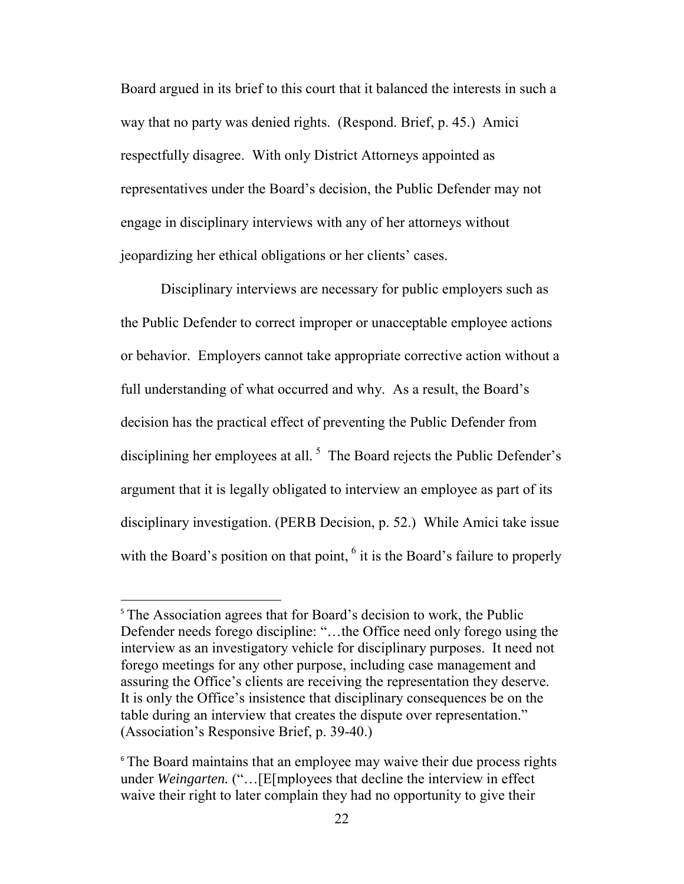Board argued in its brief to this court that it balanced the interests in such a way that no party was denied rights. (Respond. Brief, p. 45.) Amici respectfully disagree. With only District Attorneys appointed as representatives under the Board's decision, the Public Defender may not engage in disciplinary interviews with any of her attorneys without jeopardizing her ethical obligations or her clients' cases.

Disciplinary interviews are necessary for public employers such as the Public Defender to correct improper or unacceptable employee actions or behavior. Employers cannot take appropriate corrective action without a full understanding of what occurred and why. As a result, the Board's decision has the practical effect of preventing the Public Defender from disciplining her employees at all.<sup>[5](#page-21-0)</sup> The Board rejects the Public Defender's argument that it is legally obligated to interview an employee as part of its disciplinary investigation. (PERB Decision, p. 52.) While Amici take issue with the Board's position on that point,  $6$  it is the Board's failure to properly

 $\overline{\phantom{a}}$ 

<span id="page-21-0"></span><sup>&</sup>lt;sup>5</sup> The Association agrees that for Board's decision to work, the Public Defender needs forego discipline: "…the Office need only forego using the interview as an investigatory vehicle for disciplinary purposes. It need not forego meetings for any other purpose, including case management and assuring the Office's clients are receiving the representation they deserve. It is only the Office's insistence that disciplinary consequences be on the table during an interview that creates the dispute over representation." (Association's Responsive Brief, p. 39-40.)

<span id="page-21-1"></span><sup>&</sup>lt;sup>6</sup> The Board maintains that an employee may waive their due process rights under *Weingarten.* ("…[E[mployees that decline the interview in effect waive their right to later complain they had no opportunity to give their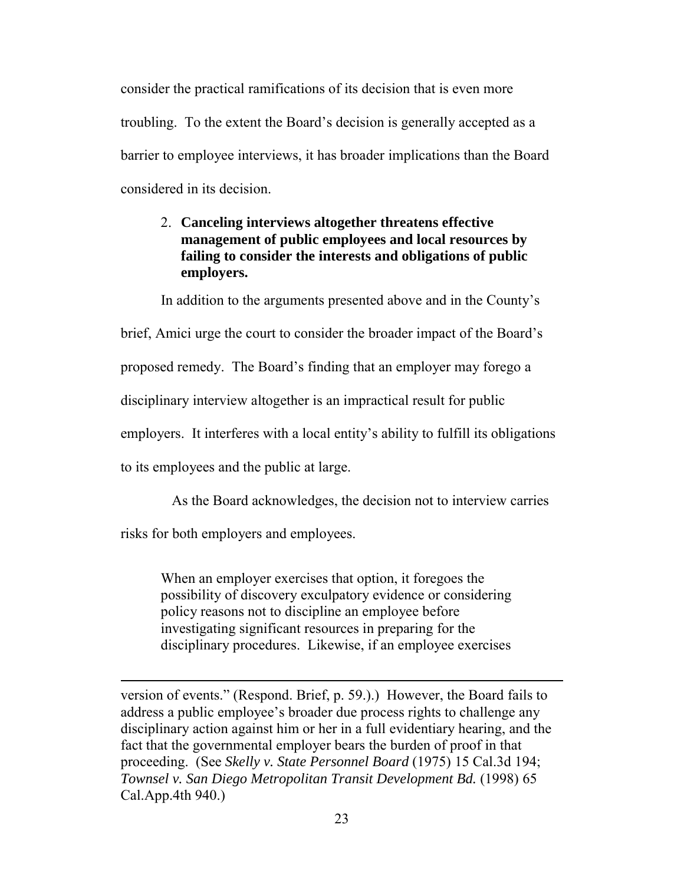consider the practical ramifications of its decision that is even more troubling. To the extent the Board's decision is generally accepted as a barrier to employee interviews, it has broader implications than the Board considered in its decision.

### 2. **Canceling interviews altogether threatens effective management of public employees and local resources by failing to consider the interests and obligations of public employers.**

In addition to the arguments presented above and in the County's

brief, Amici urge the court to consider the broader impact of the Board's

proposed remedy. The Board's finding that an employer may forego a

disciplinary interview altogether is an impractical result for public

employers. It interferes with a local entity's ability to fulfill its obligations

to its employees and the public at large.

As the Board acknowledges, the decision not to interview carries

risks for both employers and employees.

 $\overline{\phantom{a}}$ 

When an employer exercises that option, it foregoes the possibility of discovery exculpatory evidence or considering policy reasons not to discipline an employee before investigating significant resources in preparing for the disciplinary procedures. Likewise, if an employee exercises

version of events." (Respond. Brief, p. 59.).) However, the Board fails to address a public employee's broader due process rights to challenge any disciplinary action against him or her in a full evidentiary hearing, and the fact that the governmental employer bears the burden of proof in that proceeding. (See *Skelly v. State Personnel Board* (1975) 15 Cal.3d 194; *Townsel v. San Diego Metropolitan Transit Development Bd.* (1998) 65 Cal.App.4th 940.)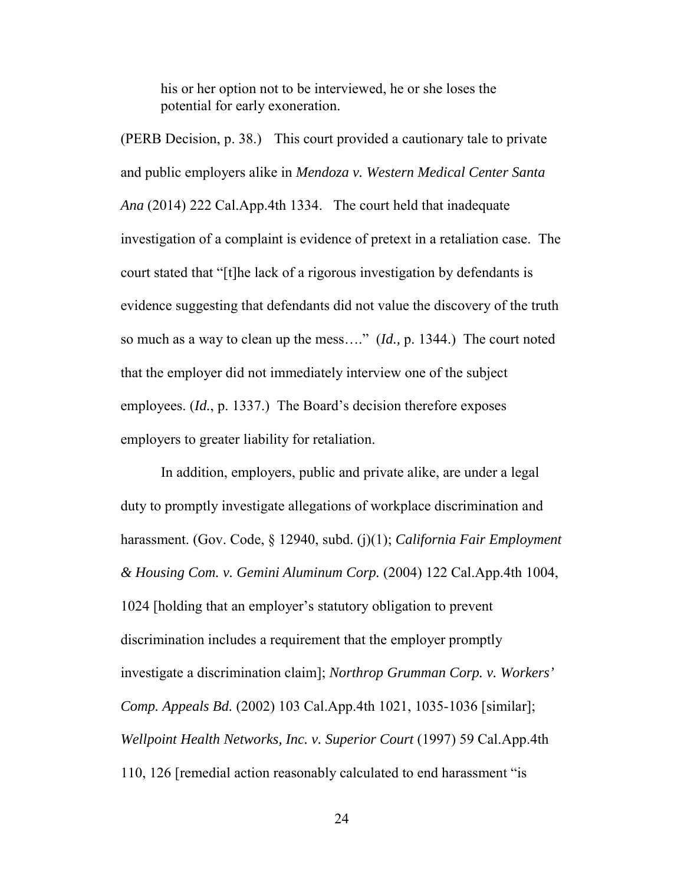his or her option not to be interviewed, he or she loses the potential for early exoneration.

(PERB Decision, p. 38.) This court provided a cautionary tale to private and public employers alike in *Mendoza v. Western Medical Center Santa Ana* (2014) 222 Cal.App.4th 1334. The court held that inadequate investigation of a complaint is evidence of pretext in a retaliation case. The court stated that "[t]he lack of a rigorous investigation by defendants is evidence suggesting that defendants did not value the discovery of the truth so much as a way to clean up the mess…." (*Id.,* p. 1344.) The court noted that the employer did not immediately interview one of the subject employees. (*Id.*, p. 1337.) The Board's decision therefore exposes employers to greater liability for retaliation.

In addition, employers, public and private alike, are under a legal duty to promptly investigate allegations of workplace discrimination and harassment. (Gov. Code, § 12940, subd. (j)(1); *California Fair Employment & Housing Com. v. Gemini Aluminum Corp.* (2004) 122 Cal.App.4th 1004, 1024 [holding that an employer's statutory obligation to prevent discrimination includes a requirement that the employer promptly investigate a discrimination claim]; *Northrop Grumman Corp. v. Workers' Comp. Appeals Bd.* (2002) 103 Cal.App.4th 1021, 1035-1036 [similar]; *Wellpoint Health Networks, Inc. v. Superior Court* (1997) 59 Cal.App.4th 110, 126 [remedial action reasonably calculated to end harassment "is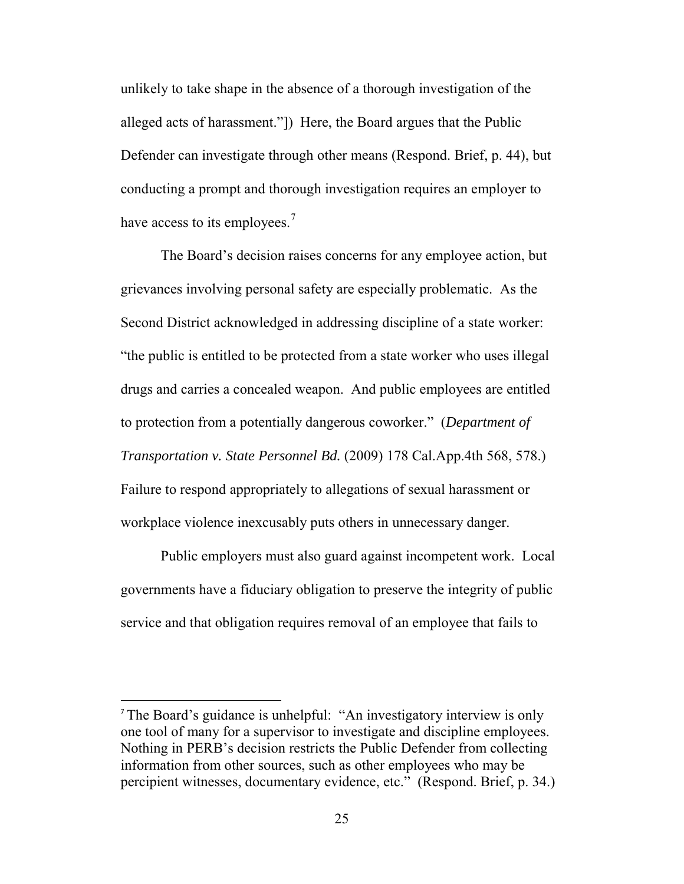unlikely to take shape in the absence of a thorough investigation of the alleged acts of harassment."]) Here, the Board argues that the Public Defender can investigate through other means (Respond. Brief, p. 44), but conducting a prompt and thorough investigation requires an employer to have access to its employees.<sup>[7](#page-24-0)</sup>

The Board's decision raises concerns for any employee action, but grievances involving personal safety are especially problematic. As the Second District acknowledged in addressing discipline of a state worker: "the public is entitled to be protected from a state worker who uses illegal drugs and carries a concealed weapon. And public employees are entitled to protection from a potentially dangerous coworker." (*[Department of](http://www.lexis.com/research/xlink?app=00075&view=full&searchtype=le&search=178+Cal.+App.+4th+568%2520at%2520578)  [Transportation v. State Personnel Bd.](http://www.lexis.com/research/xlink?app=00075&view=full&searchtype=le&search=178+Cal.+App.+4th+568%2520at%2520578)* (2009) 178 Cal.App.4th 568, 578.) Failure to respond appropriately to allegations of sexual harassment or workplace violence inexcusably puts others in unnecessary danger.

Public employers must also guard against incompetent work. Local governments have a fiduciary obligation to preserve the integrity of public service and that obligation requires removal of an employee that fails to

l

<span id="page-24-0"></span><sup>7</sup> The Board's guidance is unhelpful: "An investigatory interview is only one tool of many for a supervisor to investigate and discipline employees. Nothing in PERB's decision restricts the Public Defender from collecting information from other sources, such as other employees who may be percipient witnesses, documentary evidence, etc." (Respond. Brief, p. 34.)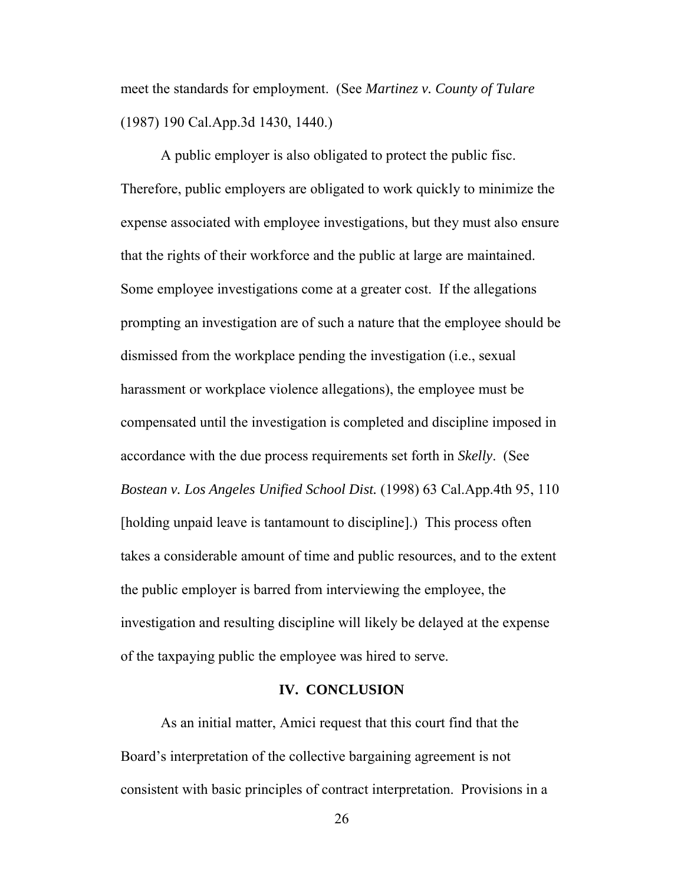meet the standards for employment. (See *Martinez v. County of Tulare* (1987) 190 Cal.App.3d 1430, 1440.)

A public employer is also obligated to protect the public fisc. Therefore, public employers are obligated to work quickly to minimize the expense associated with employee investigations, but they must also ensure that the rights of their workforce and the public at large are maintained. Some employee investigations come at a greater cost. If the allegations prompting an investigation are of such a nature that the employee should be dismissed from the workplace pending the investigation (i.e., sexual harassment or workplace violence allegations), the employee must be compensated until the investigation is completed and discipline imposed in accordance with the due process requirements set forth in *Skelly*. (See *Bostean v. Los Angeles Unified School Dist.* (1998) 63 Cal.App.4th 95, 110 [holding unpaid leave is tantamount to discipline].) This process often takes a considerable amount of time and public resources, and to the extent the public employer is barred from interviewing the employee, the investigation and resulting discipline will likely be delayed at the expense of the taxpaying public the employee was hired to serve.

#### **IV. CONCLUSION**

As an initial matter, Amici request that this court find that the Board's interpretation of the collective bargaining agreement is not consistent with basic principles of contract interpretation. Provisions in a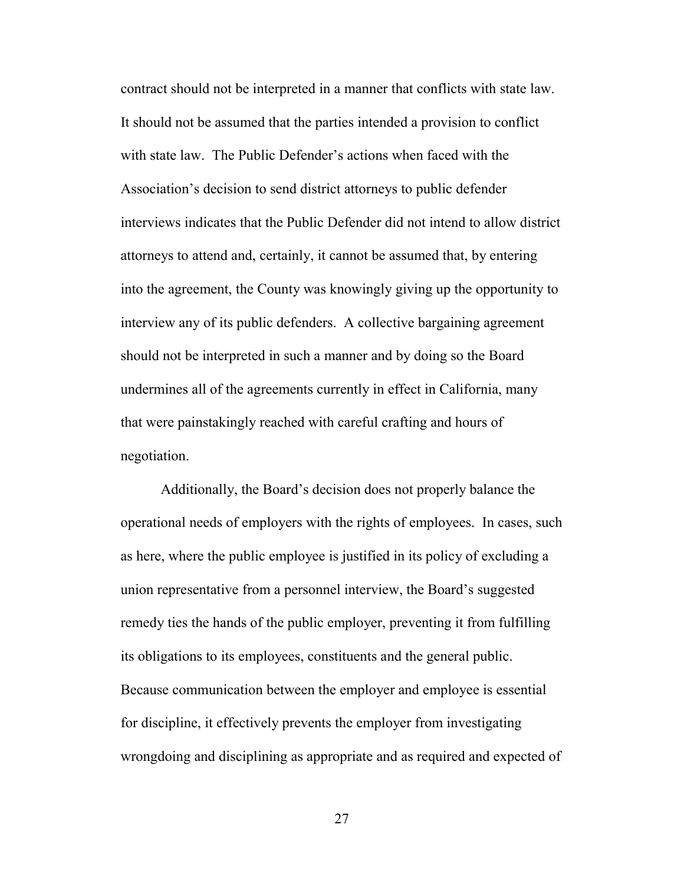contract should not be interpreted in a manner that conflicts with state law. It should not be assumed that the parties intended a provision to conflict with state law. The Public Defender's actions when faced with the Association's decision to send district attorneys to public defender interviews indicates that the Public Defender did not intend to allow district attorneys to attend and, certainly, it cannot be assumed that, by entering into the agreement, the County was knowingly giving up the opportunity to interview any of its public defenders. A collective bargaining agreement should not be interpreted in such a manner and by doing so the Board undermines all of the agreements currently in effect in California, many that were painstakingly reached with careful crafting and hours of negotiation.

Additionally, the Board's decision does not properly balance the operational needs of employers with the rights of employees. In cases, such as here, where the public employee is justified in its policy of excluding a union representative from a personnel interview, the Board's suggested remedy ties the hands of the public employer, preventing it from fulfilling its obligations to its employees, constituents and the general public. Because communication between the employer and employee is essential for discipline, it effectively prevents the employer from investigating wrongdoing and disciplining as appropriate and as required and expected of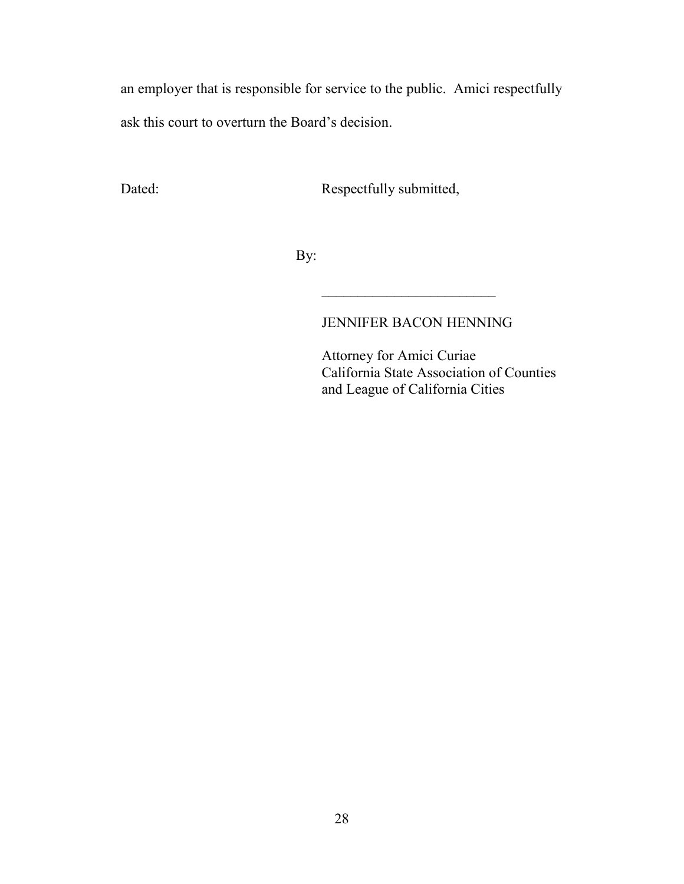an employer that is responsible for service to the public. Amici respectfully ask this court to overturn the Board's decision.

Dated: Respectfully submitted,

 $\mathcal{L}_\text{max}$  , we can also the contract of the contract of the contract of the contract of the contract of the contract of the contract of the contract of the contract of the contract of the contract of the contract of t

By:

## JENNIFER BACON HENNING

 Attorney for Amici Curiae California State Association of Counties and League of California Cities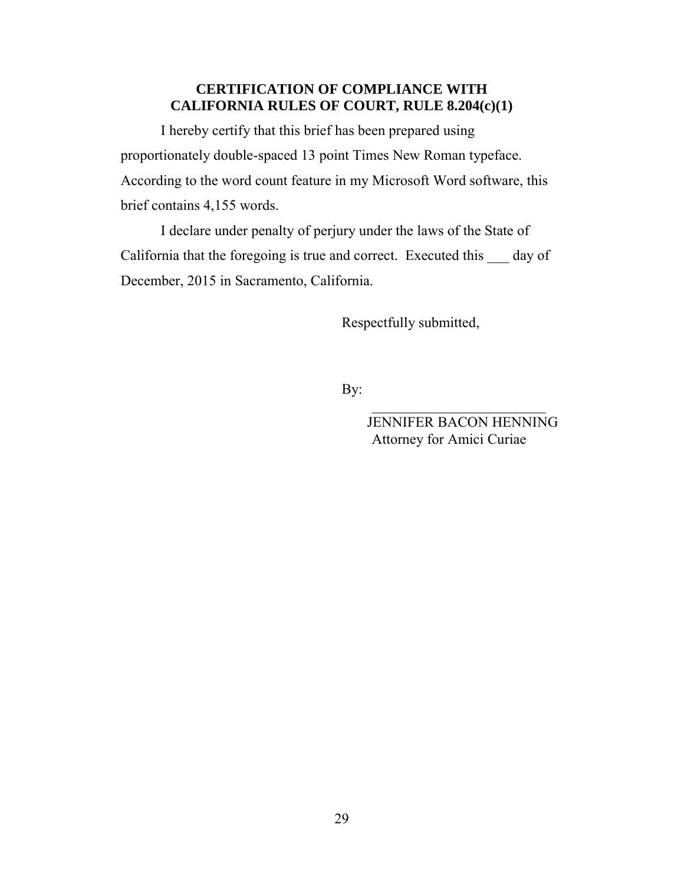### **CERTIFICATION OF COMPLIANCE WITH CALIFORNIA RULES OF COURT, RULE 8.204(c)(1)**

I hereby certify that this brief has been prepared using proportionately double-spaced 13 point Times New Roman typeface. According to the word count feature in my Microsoft Word software, this brief contains 4,155 words.

I declare under penalty of perjury under the laws of the State of California that the foregoing is true and correct. Executed this day of December, 2015 in Sacramento, California.

Respectfully submitted,

By:

 JENNIFER BACON HENNING Attorney for Amici Curiae

 $\mathcal{L}_\text{max}$  and  $\mathcal{L}_\text{max}$  and  $\mathcal{L}_\text{max}$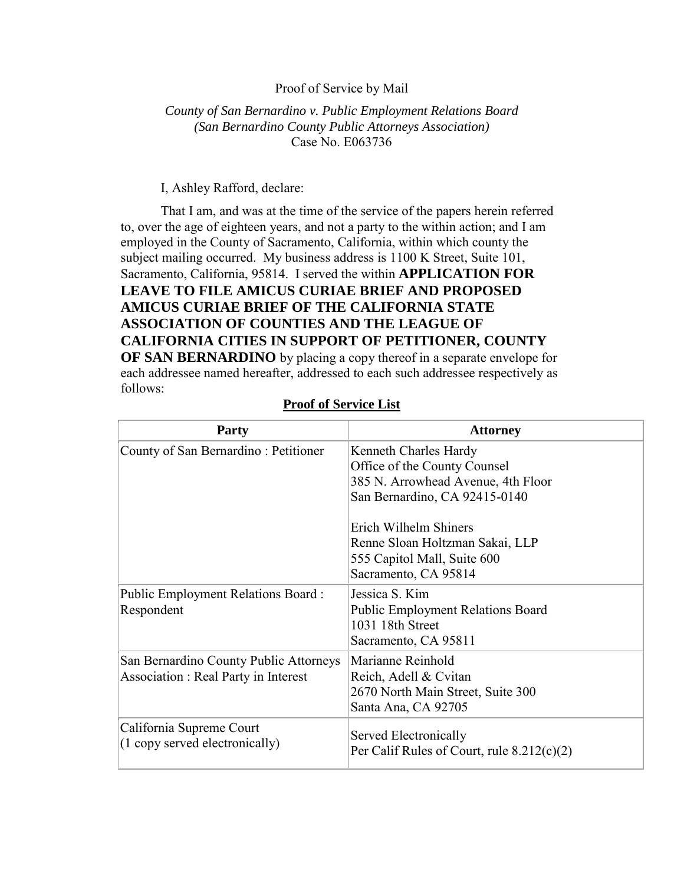#### Proof of Service by Mail

#### *County of San Bernardino v. Public Employment Relations Board (San Bernardino County Public Attorneys Association)*  Case No. E063736

#### I, Ashley Rafford, declare:

That I am, and was at the time of the service of the papers herein referred to, over the age of eighteen years, and not a party to the within action; and I am employed in the County of Sacramento, California, within which county the subject mailing occurred. My business address is 1100 K Street, Suite 101, Sacramento, California, 95814. I served the within **APPLICATION FOR LEAVE TO FILE AMICUS CURIAE BRIEF AND PROPOSED AMICUS CURIAE BRIEF OF THE CALIFORNIA STATE ASSOCIATION OF COUNTIES AND THE LEAGUE OF CALIFORNIA CITIES IN SUPPORT OF PETITIONER, COUNTY OF SAN BERNARDINO** by placing a copy thereof in a separate envelope for each addressee named hereafter, addressed to each such addressee respectively as follows:

| Party                                                                                | <b>Attorney</b>                                                                                                                                       |
|--------------------------------------------------------------------------------------|-------------------------------------------------------------------------------------------------------------------------------------------------------|
| County of San Bernardino: Petitioner                                                 | Kenneth Charles Hardy<br>Office of the County Counsel<br>385 N. Arrowhead Avenue, 4th Floor<br>San Bernardino, CA 92415-0140<br>Erich Wilhelm Shiners |
|                                                                                      | Renne Sloan Holtzman Sakai, LLP<br>555 Capitol Mall, Suite 600<br>Sacramento, CA 95814                                                                |
| Public Employment Relations Board:<br>Respondent                                     | Jessica S. Kim<br><b>Public Employment Relations Board</b><br>1031 18th Street<br>Sacramento, CA 95811                                                |
| San Bernardino County Public Attorneys<br><b>Association: Real Party in Interest</b> | Marianne Reinhold<br>Reich, Adell & Cvitan<br>2670 North Main Street, Suite 300<br>Santa Ana, CA 92705                                                |
| California Supreme Court<br>(1 copy served electronically)                           | Served Electronically<br>Per Calif Rules of Court, rule $8.212(c)(2)$                                                                                 |

#### **Proof of Service List**